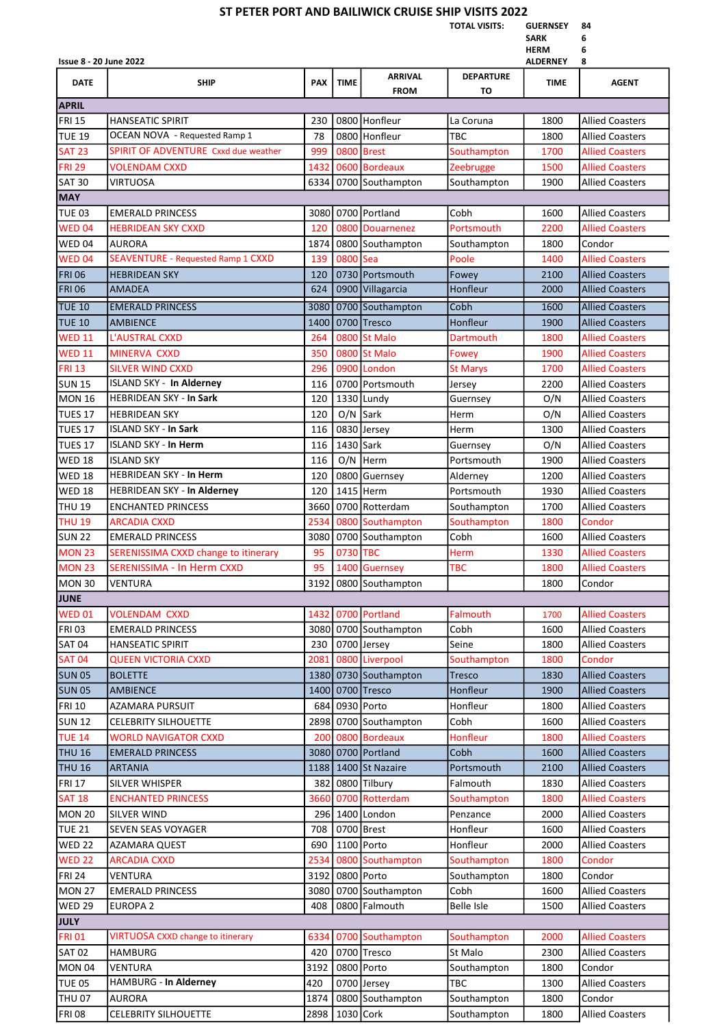## ST PETER PORT AND BAILIWICK CRUISE SHIP VISITS 2022

TOTAL VISITS: GUERNSEY 84

| <b>SARK</b> | 6 |
|-------------|---|
| <b>HFRM</b> | 6 |

| <b>TILNIVI</b><br><b>Issue 8 - 20 June 2022</b><br><b>ALDERNEY</b><br>8 |                                           |            |             |                    |                   |             |                        |
|-------------------------------------------------------------------------|-------------------------------------------|------------|-------------|--------------------|-------------------|-------------|------------------------|
| <b>DATE</b>                                                             | <b>SHIP</b>                               | <b>PAX</b> | <b>TIME</b> | <b>ARRIVAL</b>     | <b>DEPARTURE</b>  | <b>TIME</b> | <b>AGENT</b>           |
|                                                                         |                                           |            |             | <b>FROM</b>        | то                |             |                        |
| <b>APRIL</b>                                                            |                                           |            |             |                    |                   |             |                        |
| FRI <sub>15</sub>                                                       | <b>HANSEATIC SPIRIT</b>                   | 230        |             | 0800 Honfleur      | La Coruna         | 1800        | <b>Allied Coasters</b> |
| <b>TUE 19</b>                                                           | OCEAN NOVA - Requested Ramp 1             | 78         |             | 0800 Honfleur      | <b>TBC</b>        | 1800        | <b>Allied Coasters</b> |
| <b>SAT 23</b>                                                           | SPIRIT OF ADVENTURE Cxxd due weather      | 999        | 0800        | <b>Brest</b>       | Southampton       | 1700        | <b>Allied Coasters</b> |
| <b>FRI 29</b>                                                           | <b>VOLENDAM CXXD</b>                      | 1432       |             | 0600 Bordeaux      | <b>Zeebrugge</b>  | 1500        | <b>Allied Coasters</b> |
| <b>SAT 30</b>                                                           | VIRTUOSA                                  | 6334       |             | 0700 Southampton   | Southampton       | 1900        | <b>Allied Coasters</b> |
| <b>MAY</b>                                                              |                                           |            |             |                    |                   |             |                        |
| <b>TUE 03</b>                                                           | <b>EMERALD PRINCESS</b>                   |            |             | 3080 0700 Portland | Cobh              | 1600        | <b>Allied Coasters</b> |
| <b>WED 04</b>                                                           | <b>HEBRIDEAN SKY CXXD</b>                 | 120        |             | 0800 Douarnenez    | Portsmouth        | 2200        | <b>Allied Coasters</b> |
| WED 04                                                                  | <b>AURORA</b>                             | 1874       |             | 0800 Southampton   | Southampton       | 1800        | Condor                 |
| <b>WED 04</b>                                                           | <b>SEAVENTURE - Requested Ramp 1 CXXD</b> | 139        | 0800        | Sea                | Poole             | 1400        | <b>Allied Coasters</b> |
| <b>FRI 06</b>                                                           | <b>HEBRIDEAN SKY</b>                      | 120        |             | 0730 Portsmouth    | Fowey             | 2100        | <b>Allied Coasters</b> |
| <b>FRI 06</b>                                                           | <b>AMADEA</b>                             | 624        |             | 0900 Villagarcia   | Honfleur          | 2000        | <b>Allied Coasters</b> |
| <b>TUE 10</b>                                                           | <b>EMERALD PRINCESS</b>                   | 3080       |             | 0700 Southampton   | Cobh              | 1600        | <b>Allied Coasters</b> |
| <b>TUE 10</b>                                                           | <b>AMBIENCE</b>                           | 1400       |             | 0700 Tresco        | Honfleur          | 1900        | <b>Allied Coasters</b> |
| <b>WED 11</b>                                                           | L'AUSTRAL CXXD                            | 264        | 0800        | <b>St Malo</b>     | Dartmouth         | 1800        | <b>Allied Coasters</b> |
| <b>WED 11</b>                                                           | MINERVA CXXD                              | 350        | 0800        | <b>St Malo</b>     | Fowey             | 1900        | <b>Allied Coasters</b> |
| <b>FRI 13</b>                                                           | <b>SILVER WIND CXXD</b>                   | 296        |             | 0900 London        | <b>St Marys</b>   | 1700        | <b>Allied Coasters</b> |
| <b>SUN 15</b>                                                           | <b>ISLAND SKY - In Alderney</b>           | 116        |             | 0700 Portsmouth    | Jersey            | 2200        | <b>Allied Coasters</b> |
| <b>MON 16</b>                                                           | <b>HEBRIDEAN SKY - In Sark</b>            | 120        |             | 1330 Lundy         | Guernsey          | O/N         | <b>Allied Coasters</b> |
| TUES 17                                                                 | <b>HEBRIDEAN SKY</b>                      | 120        | O/N         | Sark               | Herm              | O/N         | <b>Allied Coasters</b> |
| TUES 17                                                                 | <b>ISLAND SKY - In Sark</b>               | 116        |             | 0830 Jersey        | Herm              | 1300        | <b>Allied Coasters</b> |
| TUES 17                                                                 | <b>ISLAND SKY - In Herm</b>               | 116        | 1430 Sark   |                    | Guernsey          | O/N         | <b>Allied Coasters</b> |
| <b>WED 18</b>                                                           | <b>ISLAND SKY</b>                         | 116        |             | $O/N$ Herm         | Portsmouth        | 1900        | <b>Allied Coasters</b> |
| <b>WED 18</b>                                                           | <b>HEBRIDEAN SKY - In Herm</b>            | 120        |             | 0800 Guernsey      | Alderney          | 1200        | <b>Allied Coasters</b> |
| <b>WED 18</b>                                                           | HEBRIDEAN SKY - In Alderney               | 120        |             | 1415 Herm          | Portsmouth        | 1930        | <b>Allied Coasters</b> |
| <b>THU 19</b>                                                           | <b>ENCHANTED PRINCESS</b>                 | 3660       |             | 0700 Rotterdam     | Southampton       | 1700        | <b>Allied Coasters</b> |
| <b>THU 19</b>                                                           | <b>ARCADIA CXXD</b>                       | 2534       | 0800        | Southampton        | Southampton       | 1800        | Condor                 |
| <b>SUN 22</b>                                                           | <b>EMERALD PRINCESS</b>                   | 3080       |             | 0700 Southampton   | Cobh              | 1600        | <b>Allied Coasters</b> |
| <b>MON 23</b>                                                           | SERENISSIMA CXXD change to itinerary      | 95         | 0730        | <b>TBC</b>         | Herm              | 1330        | <b>Allied Coasters</b> |
| <b>MON 23</b>                                                           | <b>SERENISSIMA - In Herm CXXD</b>         | 95         | 1400        | <b>Guernsey</b>    | <b>TBC</b>        | 1800        | <b>Allied Coasters</b> |
| <b>MON 30</b>                                                           | VENTURA                                   | 3192       |             | 0800 Southampton   |                   | 1800        | Condor                 |
| <b>JUNE</b>                                                             |                                           |            |             |                    |                   |             |                        |
| <b>WED 01</b>                                                           | <b>VOLENDAM CXXD</b>                      | 1432       |             | 0700 Portland      | Falmouth          | 1700        | <b>Allied Coasters</b> |
| <b>FRI 03</b>                                                           | <b>EMERALD PRINCESS</b>                   | 3080       |             | 0700 Southampton   | Cobh              | 1600        | <b>Allied Coasters</b> |
| <b>SAT 04</b>                                                           | HANSEATIC SPIRIT                          | 230        |             | 0700 Jersey        | Seine             | 1800        | <b>Allied Coasters</b> |
| <b>SAT 04</b>                                                           | QUEEN VICTORIA CXXD                       | 2081       |             | 0800 Liverpool     | Southampton       | 1800        | Condor                 |
| <b>SUN 05</b>                                                           | <b>BOLETTE</b>                            | 1380       |             | 0730 Southampton   | <b>Tresco</b>     | 1830        | <b>Allied Coasters</b> |
| <b>SUN 05</b>                                                           | <b>AMBIENCE</b>                           | 1400       |             | 0700 Tresco        | Honfleur          | 1900        | <b>Allied Coasters</b> |
| <b>FRI 10</b>                                                           | <b>AZAMARA PURSUIT</b>                    | 684        |             | 0930 Porto         | Honfleur          | 1800        | <b>Allied Coasters</b> |
| <b>SUN 12</b>                                                           | <b>CELEBRITY SILHOUETTE</b>               | 2898       |             | 0700 Southampton   | Cobh              | 1600        | <b>Allied Coasters</b> |
| <b>TUE 14</b>                                                           | <b>WORLD NAVIGATOR CXXD</b>               | 200        |             | 0800 Bordeaux      | Honfleur          | 1800        | <b>Allied Coasters</b> |
| <b>THU 16</b>                                                           | <b>EMERALD PRINCESS</b>                   | 3080       |             | 0700 Portland      | Cobh              | 1600        | <b>Allied Coasters</b> |
| <b>THU 16</b>                                                           | <b>ARTANIA</b>                            | 1188       |             | 1400 St Nazaire    | Portsmouth        | 2100        | <b>Allied Coasters</b> |
| <b>FRI 17</b>                                                           | SILVER WHISPER                            | 382        | 0800        | Tilbury            | Falmouth          | 1830        | <b>Allied Coasters</b> |
| <b>SAT 18</b>                                                           | <b>ENCHANTED PRINCESS</b>                 | 3660       | 0700        | Rotterdam          | Southampton       | 1800        | <b>Allied Coasters</b> |
| <b>MON 20</b>                                                           | SILVER WIND                               | 296        | 1400        | London             | Penzance          | 2000        | <b>Allied Coasters</b> |
| <b>TUE 21</b>                                                           | SEVEN SEAS VOYAGER                        | 708        |             | 0700 Brest         | Honfleur          | 1600        | <b>Allied Coasters</b> |
| <b>WED 22</b>                                                           | AZAMARA QUEST                             | 690        |             | 1100 Porto         | Honfleur          | 2000        | <b>Allied Coasters</b> |
| <b>WED 22</b>                                                           | <b>ARCADIA CXXD</b>                       | 2534       | 0800        | Southampton        | Southampton       | 1800        | Condor                 |
| <b>FRI 24</b>                                                           | VENTURA                                   | 3192       |             | 0800 Porto         | Southampton       | 1800        | Condor                 |
| <b>MON 27</b>                                                           | <b>EMERALD PRINCESS</b>                   | 3080       |             | 0700 Southampton   | Cobh              | 1600        | <b>Allied Coasters</b> |
| <b>WED 29</b>                                                           | EUROPA 2                                  | 408        |             | 0800 Falmouth      | <b>Belle Isle</b> | 1500        | <b>Allied Coasters</b> |
| <b>JULY</b>                                                             |                                           |            |             |                    |                   |             |                        |
| <b>FRI 01</b>                                                           | <b>VIRTUOSA CXXD change to itinerary</b>  | 6334       | 0700        | Southampton        | Southampton       | 2000        | <b>Allied Coasters</b> |
| <b>SAT 02</b>                                                           | HAMBURG                                   | 420        |             | 0700 Tresco        | St Malo           | 2300        | <b>Allied Coasters</b> |
| <b>MON 04</b>                                                           | VENTURA                                   | 3192       | 0800        | Porto              | Southampton       | 1800        | Condor                 |
| <b>TUE 05</b>                                                           | HAMBURG - In Alderney                     | 420        |             | 0700 Jersey        | <b>TBC</b>        | 1300        | <b>Allied Coasters</b> |
| <b>THU 07</b>                                                           | <b>AURORA</b>                             | 1874       |             | 0800 Southampton   | Southampton       | 1800        | Condor                 |
| <b>FRI 08</b>                                                           | <b>CELEBRITY SILHOUETTE</b>               | 2898       | 1030 Cork   |                    | Southampton       | 1800        | <b>Allied Coasters</b> |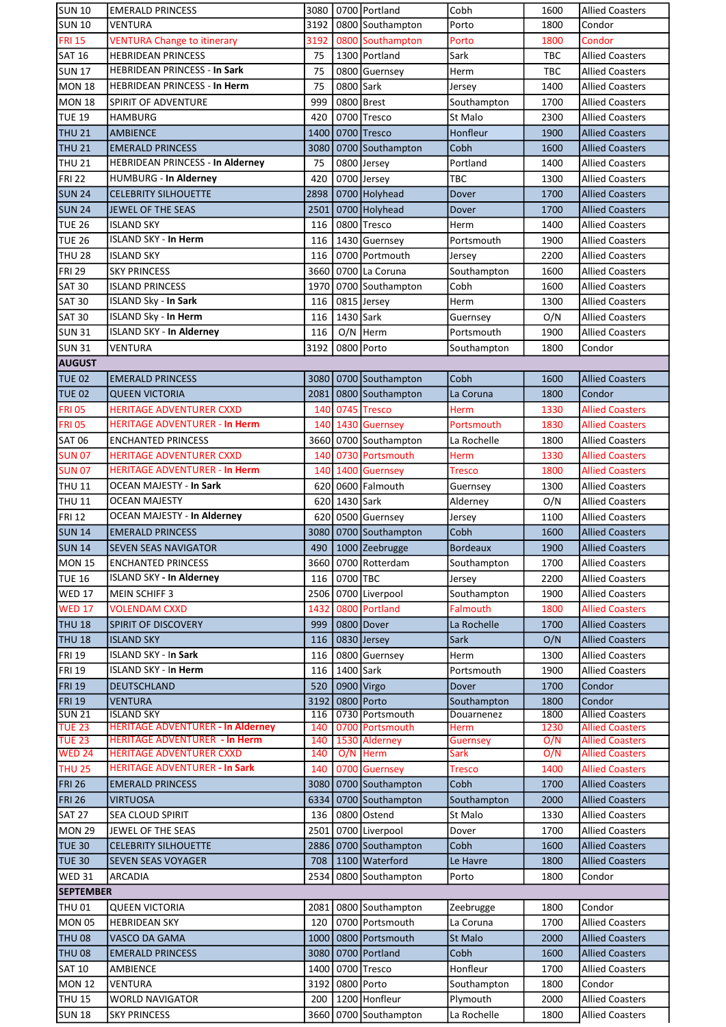| <b>SUN 10</b>                                          | <b>EMERALD PRINCESS</b>                  | 3080        |           | 0700 Portland                          | Cobh                      | 1600         | <b>Allied Coasters</b>           |
|--------------------------------------------------------|------------------------------------------|-------------|-----------|----------------------------------------|---------------------------|--------------|----------------------------------|
| <b>SUN 10</b>                                          | VENTURA                                  | 3192        |           | 0800 Southampton                       | Porto                     | 1800         | Condor                           |
| <b>FRI 15</b>                                          | <b>VENTURA Change to itinerary</b>       | 3192        |           | 0800 Southampton                       | Porto                     | 1800         | Condor                           |
| <b>SAT 16</b>                                          | <b>HEBRIDEAN PRINCESS</b>                | 75          |           | 1300 Portland                          | Sark                      | <b>TBC</b>   | <b>Allied Coasters</b>           |
| <b>SUN 17</b>                                          | <b>HEBRIDEAN PRINCESS - In Sark</b>      | 75          |           | 0800 Guernsey                          | Herm                      | TBC          | <b>Allied Coasters</b>           |
| <b>MON 18</b>                                          | <b>HEBRIDEAN PRINCESS - In Herm</b>      | 75          | 0800 Sark |                                        | Jersey                    | 1400         | <b>Allied Coasters</b>           |
|                                                        |                                          | 999         |           | 0800 Brest                             |                           |              |                                  |
| <b>MON 18</b>                                          | <b>SPIRIT OF ADVENTURE</b>               |             |           |                                        | Southampton               | 1700         | <b>Allied Coasters</b>           |
| <b>TUE 19</b>                                          | HAMBURG                                  | 420         |           | 0700 Tresco                            | St Malo                   | 2300         | <b>Allied Coasters</b>           |
| <b>THU 21</b>                                          | <b>AMBIENCE</b>                          | 1400        |           | 0700 Tresco                            | Honfleur                  | 1900         | <b>Allied Coasters</b>           |
| <b>THU 21</b>                                          | <b>EMERALD PRINCESS</b>                  | 3080        |           | 0700 Southampton                       | Cobh                      | 1600         | <b>Allied Coasters</b>           |
| <b>THU 21</b>                                          | HEBRIDEAN PRINCESS - In Alderney         | 75          |           | 0800 Jersey                            | Portland                  | 1400         | <b>Allied Coasters</b>           |
| <b>FRI 22</b>                                          | HUMBURG - In Alderney                    | 420         |           | 0700 Jersey                            | TBC                       | 1300         | <b>Allied Coasters</b>           |
| <b>SUN 24</b>                                          | <b>CELEBRITY SILHOUETTE</b>              | 2898        |           | 0700 Holyhead                          | Dover                     | 1700         | <b>Allied Coasters</b>           |
| <b>SUN 24</b>                                          | JEWEL OF THE SEAS                        | 2501        |           | 0700 Holyhead                          | Dover                     | 1700         | <b>Allied Coasters</b>           |
| <b>TUE 26</b>                                          | <b>ISLAND SKY</b>                        | 116         |           | 0800 Tresco                            | Herm                      | 1400         | Allied Coasters                  |
| TUE 26                                                 | <b>ISLAND SKY - In Herm</b>              | 116         |           | 1430 Guernsey                          | Portsmouth                | 1900         | Allied Coasters                  |
| <b>THU 28</b>                                          | <b>ISLAND SKY</b>                        | 116         |           | 0700 Portmouth                         | Jersey                    | 2200         | <b>Allied Coasters</b>           |
| <b>FRI 29</b>                                          | <b>SKY PRINCESS</b>                      | 3660        |           | 0700 La Coruna                         | Southampton               | 1600         | <b>Allied Coasters</b>           |
| <b>SAT 30</b>                                          | <b>ISLAND PRINCESS</b>                   | 1970        |           | 0700 Southampton                       | Cobh                      | 1600         | <b>Allied Coasters</b>           |
| <b>SAT 30</b>                                          | <b>ISLAND Sky - In Sark</b>              | 116         |           | 0815 Jersey                            | Herm                      | 1300         | <b>Allied Coasters</b>           |
| <b>SAT 30</b>                                          | <b>ISLAND Sky - In Herm</b>              | 116         | 1430 Sark |                                        | Guernsey                  | O/N          | <b>Allied Coasters</b>           |
| <b>SUN 31</b>                                          | <b>ISLAND SKY - In Alderney</b>          | 116         |           | O/N Herm                               | Portsmouth                | 1900         | <b>Allied Coasters</b>           |
| <b>SUN31</b>                                           | <b>VENTURA</b>                           | 3192        |           | 0800 Porto                             | Southampton               | 1800         | Condor                           |
| <b>AUGUST</b>                                          |                                          |             |           |                                        |                           |              |                                  |
| <b>TUE 02</b>                                          | <b>EMERALD PRINCESS</b>                  | 3080        |           | 0700 Southampton                       | Cobh                      | 1600         | <b>Allied Coasters</b>           |
|                                                        |                                          |             |           |                                        |                           |              |                                  |
| <b>TUE 02</b>                                          | <b>QUEEN VICTORIA</b>                    | 2081        |           | 0800 Southampton                       | La Coruna                 | 1800         | Condor                           |
| <b>FRI 05</b>                                          | <b>HERITAGE ADVENTURER CXXD</b>          | 140         |           | 0745 Tresco                            | <b>Herm</b>               | 1330         | <b>Allied Coasters</b>           |
| <b>FRI 05</b>                                          | <b>HERITAGE ADVENTURER - In Herm</b>     | 140         |           | 1430 Guernsey                          | Portsmouth                | 1830         | <b>Allied Coasters</b>           |
| <b>SAT 06</b>                                          | <b>ENCHANTED PRINCESS</b>                | 3660        |           | 0700 Southampton                       | La Rochelle               | 1800         | <b>Allied Coasters</b>           |
| <b>SUN 07</b>                                          | <b>HERITAGE ADVENTURER CXXD</b>          | 140         |           | 0730 Portsmouth                        | Herm                      | 1330         | <b>Allied Coasters</b>           |
| <b>SUN 07</b>                                          | HERITAGE ADVENTURER - In Herm            | 140         |           | 1400 Guernsey                          | Tresco                    | 1800         | <b>Allied Coasters</b>           |
| <b>THU 11</b>                                          | <b>OCEAN MAJESTY - In Sark</b>           | 620         |           | 0600 Falmouth                          | Guernsey                  | 1300         | <b>Allied Coasters</b>           |
| <b>THU 11</b>                                          | <b>OCEAN MAJESTY</b>                     | 620         | 1430 Sark |                                        | Alderney                  | O/N          | <b>Allied Coasters</b>           |
| <b>FRI 12</b>                                          | <b>OCEAN MAJESTY - In Alderney</b>       | 620         |           | 0500 Guernsey                          | Jersey                    | 1100         | <b>Allied Coasters</b>           |
| <b>SUN 14</b>                                          | <b>EMERALD PRINCESS</b>                  | 3080        |           | 0700 Southampton                       | Cobh                      | 1600         | <b>Allied Coasters</b>           |
| <b>SUN 14</b>                                          | <b>SEVEN SEAS NAVIGATOR</b>              |             |           | 490 1000 Zeebrugge                     | <b>Bordeaux</b>           | 1900         | <b>Allied Coasters</b>           |
| <b>MON 15</b>                                          | <b>ENCHANTED PRINCESS</b>                |             |           | 3660   0700   Rotterdam                | Southampton               | 1700         | <b>Allied Coasters</b>           |
| <b>TUE 16</b>                                          | <b>ISLAND SKY - In Alderney</b>          | 116         | 0700 TBC  |                                        | Jersey                    | 2200         | <b>Allied Coasters</b>           |
| <b>WED 17</b>                                          | <b>MEIN SCHIFF 3</b>                     | 2506        |           | 0700 Liverpool                         | Southampton               | 1900         | <b>Allied Coasters</b>           |
| <b>WED 17</b>                                          | <b>VOLENDAM CXXD</b>                     | 1432        |           | 0800 Portland                          | Falmouth                  | 1800         | <b>Allied Coasters</b>           |
| <b>THU 18</b>                                          | SPIRIT OF DISCOVERY                      | 999         |           | 0800 Dover                             | La Rochelle               | 1700         | <b>Allied Coasters</b>           |
| <b>THU 18</b>                                          | <b>ISLAND SKY</b>                        | 116         |           | 0830 Jersey                            | Sark                      | O/N          | <b>Allied Coasters</b>           |
| <b>FRI 19</b>                                          | <b>ISLAND SKY - In Sark</b>              | 116         |           | 0800 Guernsey                          | Herm                      | 1300         | <b>Allied Coasters</b>           |
| <b>FRI 19</b>                                          | <b>ISLAND SKY - In Herm</b>              | 116         | 1400 Sark |                                        | Portsmouth                | 1900         | <b>Allied Coasters</b>           |
| <b>FRI 19</b>                                          | <b>DEUTSCHLAND</b>                       | 520         |           | 0900 Virgo                             | Dover                     | 1700         | Condor                           |
|                                                        |                                          |             |           |                                        |                           |              |                                  |
| <b>FRI 19</b><br><b>SUN 21</b>                         | <b>VENTURA</b><br><b>ISLAND SKY</b>      | 3192<br>116 |           | 0800 Porto<br>0730 Portsmouth          | Southampton<br>Douarnenez | 1800<br>1800 | Condor<br><b>Allied Coasters</b> |
| <b>TUE 23</b>                                          | <b>HERITAGE ADVENTURER - In Alderney</b> | 140         |           | 0700 Portsmouth                        | Herm                      | 1230         | <b>Allied Coasters</b>           |
| <b>TUE 23</b>                                          | <b>HERITAGE ADVENTURER - In Herm</b>     | 140         |           | 1530 Alderney                          | Guernsey                  | O/N          | <b>Allied Coasters</b>           |
| <b>WED 24</b>                                          | HERITAGE ADVENTURER CXXD                 | 140         |           | O/N Herm                               | Sark                      | O/N          | <b>Allied Coasters</b>           |
| <b>THU 25</b>                                          | <b>HERITAGE ADVENTURER - In Sark</b>     | 140         |           | 0700 Guernsey                          | <b>Tresco</b>             | 1400         | <b>Allied Coasters</b>           |
| <b>FRI 26</b>                                          | <b>EMERALD PRINCESS</b>                  | 3080        |           | 0700 Southampton                       | Cobh                      | 1700         | <b>Allied Coasters</b>           |
| <b>FRI 26</b>                                          | VIRTUOSA                                 | 6334        |           | 0700 Southampton                       | Southampton               | 2000         | <b>Allied Coasters</b>           |
| <b>SAT 27</b>                                          | <b>SEA CLOUD SPIRIT</b>                  | 136         |           | 0800 Ostend                            | St Malo                   | 1330         | <b>Allied Coasters</b>           |
| <b>MON 29</b>                                          | JEWEL OF THE SEAS                        | 2501        |           | 0700 Liverpool                         | Dover                     | 1700         | <b>Allied Coasters</b>           |
| <b>TUE 30</b>                                          | <b>CELEBRITY SILHOUETTE</b>              | 2886        |           | 0700 Southampton                       | Cobh                      | 1600         | <b>Allied Coasters</b>           |
| <b>TUE 30</b>                                          | <b>SEVEN SEAS VOYAGER</b>                | 708         |           | 1100 Waterford                         | Le Havre                  | 1800         | <b>Allied Coasters</b>           |
| <b>WED 31</b>                                          |                                          | 2534        |           |                                        |                           |              |                                  |
| 0800 Southampton<br>ARCADIA<br>Porto<br>1800<br>Condor |                                          |             |           |                                        |                           |              |                                  |
| <b>SEPTEMBER</b>                                       |                                          |             |           |                                        |                           |              |                                  |
| <b>THU 01</b>                                          | <b>QUEEN VICTORIA</b>                    | 2081        |           | 0800 Southampton                       | Zeebrugge                 | 1800         | Condor                           |
| <b>MON 05</b>                                          |                                          | 120         |           | 0700 Portsmouth                        | La Coruna                 | 1700         | <b>Allied Coasters</b>           |
|                                                        | <b>HEBRIDEAN SKY</b>                     |             |           |                                        |                           |              |                                  |
| <b>THU 08</b>                                          | VASCO DA GAMA                            | 1000        |           | 0800 Portsmouth                        | <b>St Malo</b>            | 2000         | <b>Allied Coasters</b>           |
| <b>THU 08</b>                                          | <b>EMERALD PRINCESS</b>                  | 3080        |           | 0700 Portland                          | Cobh                      | 1600         | <b>Allied Coasters</b>           |
| <b>SAT 10</b>                                          | AMBIENCE                                 | 1400        |           | 0700 Tresco                            | Honfleur                  | 1700         | <b>Allied Coasters</b>           |
| <b>MON 12</b>                                          | <b>VENTURA</b>                           | 3192        |           | 0800 Porto                             | Southampton               | 1800         | Condor                           |
| THU <sub>15</sub><br><b>SUN 18</b>                     | <b>WORLD NAVIGATOR</b>                   | 200         |           | 1200 Honfleur<br>3660 0700 Southampton | Plymouth<br>La Rochelle   | 2000         | <b>Allied Coasters</b>           |